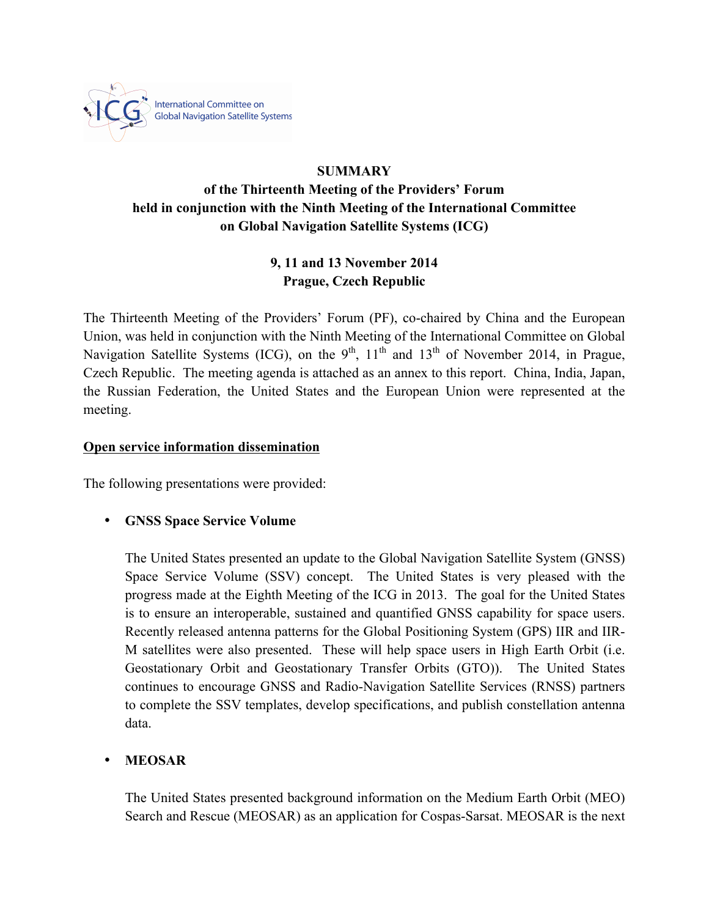

### **SUMMARY**

# **of the Thirteenth Meeting of the Providers' Forum held in conjunction with the Ninth Meeting of the International Committee on Global Navigation Satellite Systems (ICG)**

## **9, 11 and 13 November 2014 Prague, Czech Republic**

The Thirteenth Meeting of the Providers' Forum (PF), co-chaired by China and the European Union, was held in conjunction with the Ninth Meeting of the International Committee on Global Navigation Satellite Systems (ICG), on the  $9<sup>th</sup>$ ,  $11<sup>th</sup>$  and  $13<sup>th</sup>$  of November 2014, in Prague, Czech Republic. The meeting agenda is attached as an annex to this report. China, India, Japan, the Russian Federation, the United States and the European Union were represented at the meeting.

#### **Open service information dissemination**

The following presentations were provided:

#### • **GNSS Space Service Volume**

The United States presented an update to the Global Navigation Satellite System (GNSS) Space Service Volume (SSV) concept. The United States is very pleased with the progress made at the Eighth Meeting of the ICG in 2013. The goal for the United States is to ensure an interoperable, sustained and quantified GNSS capability for space users. Recently released antenna patterns for the Global Positioning System (GPS) IIR and IIR-M satellites were also presented. These will help space users in High Earth Orbit (i.e. Geostationary Orbit and Geostationary Transfer Orbits (GTO)). The United States continues to encourage GNSS and Radio-Navigation Satellite Services (RNSS) partners to complete the SSV templates, develop specifications, and publish constellation antenna data.

#### • **MEOSAR**

The United States presented background information on the Medium Earth Orbit (MEO) Search and Rescue (MEOSAR) as an application for Cospas-Sarsat. MEOSAR is the next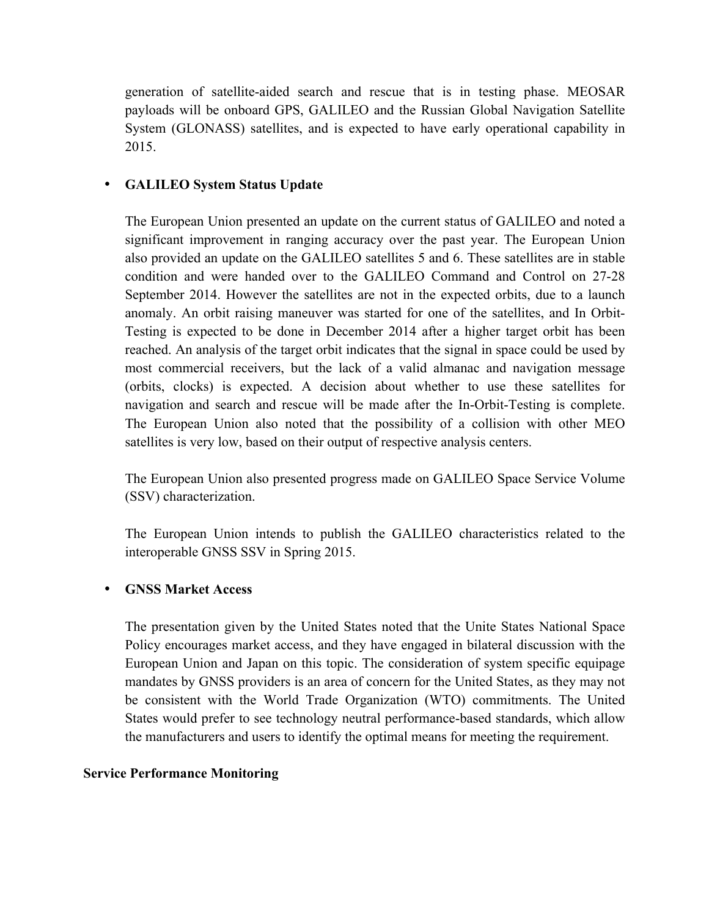generation of satellite-aided search and rescue that is in testing phase. MEOSAR payloads will be onboard GPS, GALILEO and the Russian Global Navigation Satellite System (GLONASS) satellites, and is expected to have early operational capability in 2015.

### • **GALILEO System Status Update**

The European Union presented an update on the current status of GALILEO and noted a significant improvement in ranging accuracy over the past year. The European Union also provided an update on the GALILEO satellites 5 and 6. These satellites are in stable condition and were handed over to the GALILEO Command and Control on 27-28 September 2014. However the satellites are not in the expected orbits, due to a launch anomaly. An orbit raising maneuver was started for one of the satellites, and In Orbit-Testing is expected to be done in December 2014 after a higher target orbit has been reached. An analysis of the target orbit indicates that the signal in space could be used by most commercial receivers, but the lack of a valid almanac and navigation message (orbits, clocks) is expected. A decision about whether to use these satellites for navigation and search and rescue will be made after the In-Orbit-Testing is complete. The European Union also noted that the possibility of a collision with other MEO satellites is very low, based on their output of respective analysis centers.

The European Union also presented progress made on GALILEO Space Service Volume (SSV) characterization.

The European Union intends to publish the GALILEO characteristics related to the interoperable GNSS SSV in Spring 2015.

#### • **GNSS Market Access**

The presentation given by the United States noted that the Unite States National Space Policy encourages market access, and they have engaged in bilateral discussion with the European Union and Japan on this topic. The consideration of system specific equipage mandates by GNSS providers is an area of concern for the United States, as they may not be consistent with the World Trade Organization (WTO) commitments. The United States would prefer to see technology neutral performance-based standards, which allow the manufacturers and users to identify the optimal means for meeting the requirement.

#### **Service Performance Monitoring**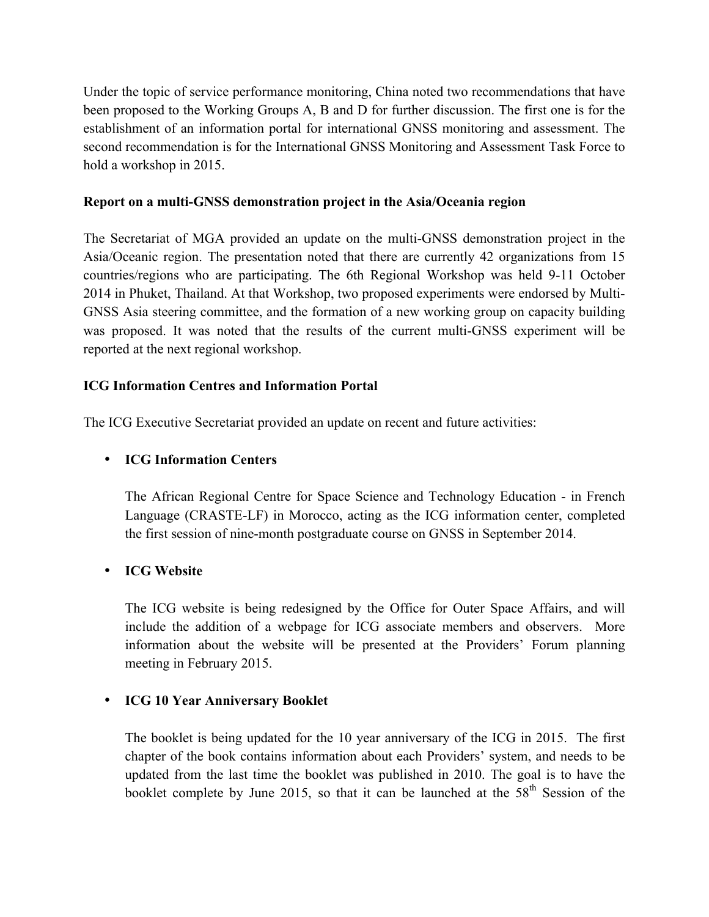Under the topic of service performance monitoring, China noted two recommendations that have been proposed to the Working Groups A, B and D for further discussion. The first one is for the establishment of an information portal for international GNSS monitoring and assessment. The second recommendation is for the International GNSS Monitoring and Assessment Task Force to hold a workshop in 2015.

#### **Report on a multi-GNSS demonstration project in the Asia/Oceania region**

The Secretariat of MGA provided an update on the multi-GNSS demonstration project in the Asia/Oceanic region. The presentation noted that there are currently 42 organizations from 15 countries/regions who are participating. The 6th Regional Workshop was held 9-11 October 2014 in Phuket, Thailand. At that Workshop, two proposed experiments were endorsed by Multi-GNSS Asia steering committee, and the formation of a new working group on capacity building was proposed. It was noted that the results of the current multi-GNSS experiment will be reported at the next regional workshop.

#### **ICG Information Centres and Information Portal**

The ICG Executive Secretariat provided an update on recent and future activities:

#### • **ICG Information Centers**

The African Regional Centre for Space Science and Technology Education - in French Language (CRASTE-LF) in Morocco, acting as the ICG information center, completed the first session of nine-month postgraduate course on GNSS in September 2014.

#### • **ICG Website**

The ICG website is being redesigned by the Office for Outer Space Affairs, and will include the addition of a webpage for ICG associate members and observers. More information about the website will be presented at the Providers' Forum planning meeting in February 2015.

#### • **ICG 10 Year Anniversary Booklet**

The booklet is being updated for the 10 year anniversary of the ICG in 2015. The first chapter of the book contains information about each Providers' system, and needs to be updated from the last time the booklet was published in 2010. The goal is to have the booklet complete by June 2015, so that it can be launched at the  $58<sup>th</sup>$  Session of the